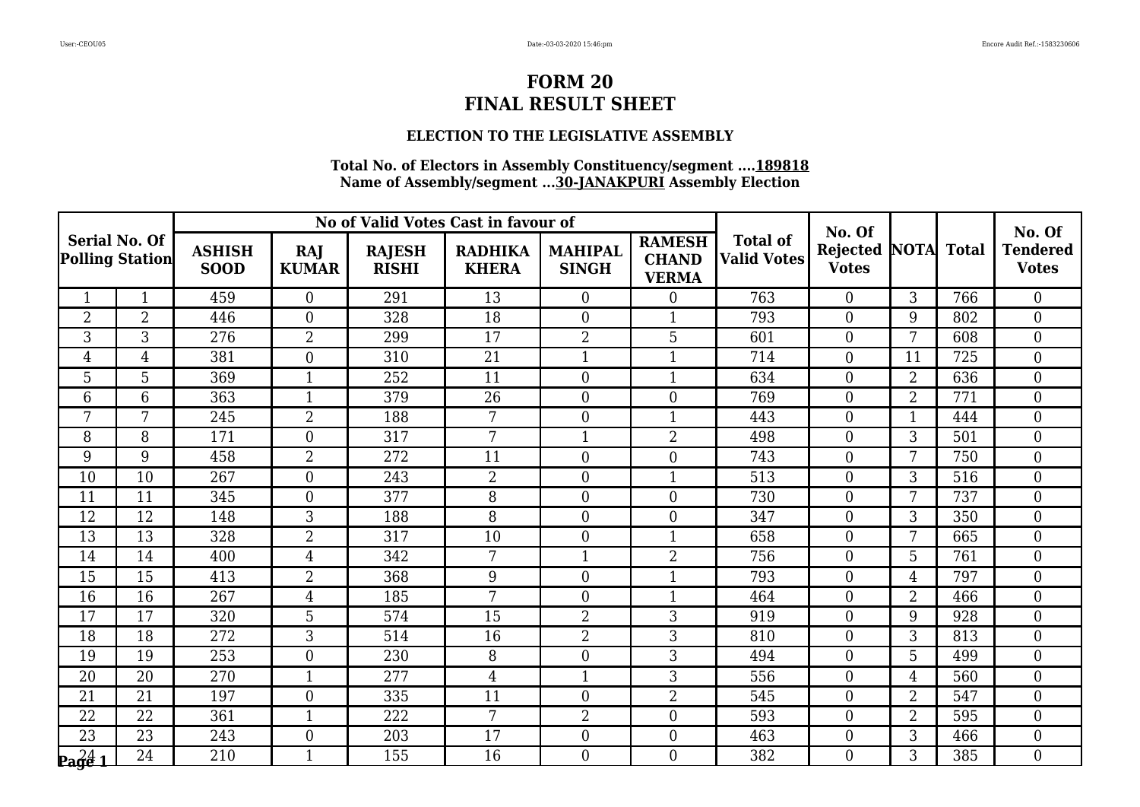### **ELECTION TO THE LEGISLATIVE ASSEMBLY**

|                                                      |                |                              |                     | No of Valid Votes Cast in favour of |                                |                                |                                               |                                       | No. Of                          |                |              | No. Of                          |
|------------------------------------------------------|----------------|------------------------------|---------------------|-------------------------------------|--------------------------------|--------------------------------|-----------------------------------------------|---------------------------------------|---------------------------------|----------------|--------------|---------------------------------|
| <b>Serial No. Of</b><br><b>Polling Station</b>       |                | <b>ASHISH</b><br><b>SOOD</b> | RAJ<br><b>KUMAR</b> | <b>RAJESH</b><br><b>RISHI</b>       | <b>RADHIKA</b><br><b>KHERA</b> | <b>MAHIPAL</b><br><b>SINGH</b> | <b>RAMESH</b><br><b>CHAND</b><br><b>VERMA</b> | <b>Total of</b><br><b>Valid Votes</b> | <b>Rejected</b><br><b>Votes</b> | <b>NOTA</b>    | <b>Total</b> | <b>Tendered</b><br><b>Votes</b> |
| 1                                                    | $\mathbf{1}$   | 459                          | $\overline{0}$      | 291                                 | 13                             | $\overline{0}$                 | $\Omega$                                      | 763                                   | $\theta$                        | 3              | 766          | $\overline{0}$                  |
| $\overline{2}$                                       | $\overline{2}$ | 446                          | $\boldsymbol{0}$    | 328                                 | 18                             | $\boldsymbol{0}$               |                                               | 793                                   | $\boldsymbol{0}$                | 9              | 802          | $\boldsymbol{0}$                |
| 3                                                    | 3              | 276                          | $\overline{2}$      | 299                                 | 17                             | $\overline{2}$                 | 5                                             | 601                                   | $\boldsymbol{0}$                | $\overline{7}$ | 608          | $\boldsymbol{0}$                |
| $\overline{4}$                                       | 4              | 381                          | $\overline{0}$      | 310                                 | 21                             | $\mathbf{1}$                   | $\mathbf{1}$                                  | 714                                   | $\overline{0}$                  | 11             | 725          | $\boldsymbol{0}$                |
| 5                                                    | 5              | 369                          | $\mathbf{1}$        | 252                                 | 11                             | $\boldsymbol{0}$               | 1                                             | 634                                   | $\overline{0}$                  | $\overline{2}$ | 636          | $\mathbf{0}$                    |
| 6                                                    | 6              | 363                          | $\mathbf{1}$        | 379                                 | 26                             | $\boldsymbol{0}$               | $\theta$                                      | 769                                   | $\boldsymbol{0}$                | $\overline{2}$ | 771          | $\boldsymbol{0}$                |
| 7                                                    | 7              | 245                          | $\overline{2}$      | 188                                 | 7                              | $\boldsymbol{0}$               | 1                                             | 443                                   | $\overline{0}$                  | $\mathbf{1}$   | 444          | $\mathbf{0}$                    |
| 8                                                    | 8              | 171                          | $\boldsymbol{0}$    | 317                                 | 7                              | $\mathbf{1}$                   | $\overline{2}$                                | 498                                   | $\boldsymbol{0}$                | 3              | 501          | $\boldsymbol{0}$                |
| 9                                                    | 9              | 458                          | $\overline{2}$      | 272                                 | 11                             | $\boldsymbol{0}$               | $\overline{0}$                                | 743                                   | $\boldsymbol{0}$                | 7              | 750          | $\boldsymbol{0}$                |
| 10                                                   | 10             | 267                          | $\overline{0}$      | 243                                 | $\overline{2}$                 | $\boldsymbol{0}$               | $\mathbf{1}$                                  | 513                                   | $\theta$                        | 3              | 516          | $\boldsymbol{0}$                |
| 11                                                   | 11             | 345                          | $\boldsymbol{0}$    | 377                                 | 8                              | $\boldsymbol{0}$               | $\Omega$                                      | 730                                   | $\overline{0}$                  | 7              | 737          | $\mathbf{0}$                    |
| 12                                                   | 12             | 148                          | 3                   | 188                                 | 8                              | $\boldsymbol{0}$               | $\theta$                                      | 347                                   | $\boldsymbol{0}$                | 3              | 350          | $\mathbf{0}$                    |
| 13                                                   | 13             | 328                          | $\overline{2}$      | 317                                 | 10                             | $\boldsymbol{0}$               | $\mathbf{1}$                                  | 658                                   | $\boldsymbol{0}$                | 7              | 665          | $\boldsymbol{0}$                |
| 14                                                   | 14             | 400                          | $\overline{4}$      | 342                                 | 7                              | $\mathbf{1}$                   | $\overline{2}$                                | 756                                   | $\overline{0}$                  | 5              | 761          | $\boldsymbol{0}$                |
| 15                                                   | 15             | 413                          | $\overline{2}$      | 368                                 | 9                              | $\boldsymbol{0}$               | 1                                             | 793                                   | $\overline{0}$                  | $\overline{4}$ | 797          | $\mathbf{0}$                    |
| 16                                                   | 16             | 267                          | 4                   | 185                                 | 7                              | $\boldsymbol{0}$               | 1                                             | 464                                   | $\boldsymbol{0}$                | $\overline{2}$ | 466          | $\boldsymbol{0}$                |
| 17                                                   | 17             | 320                          | 5                   | 574                                 | 15                             | $\overline{2}$                 | 3                                             | 919                                   | $\overline{0}$                  | 9              | 928          | $\boldsymbol{0}$                |
| $\overline{18}$                                      | 18             | 272                          | 3                   | 514                                 | 16                             | $\overline{2}$                 | 3                                             | 810                                   | $\overline{0}$                  | 3              | 813          | $\overline{0}$                  |
| 19                                                   | 19             | 253                          | $\overline{0}$      | 230                                 | 8                              | $\boldsymbol{0}$               | 3                                             | 494                                   | $\overline{0}$                  | 5              | 499          | $\boldsymbol{0}$                |
| 20                                                   | 20             | 270                          | $\mathbf{1}$        | 277                                 | $\overline{4}$                 | $\mathbf{1}$                   | 3                                             | 556                                   | $\boldsymbol{0}$                | $\overline{4}$ | 560          | $\boldsymbol{0}$                |
| 21                                                   | 21             | 197                          | $\overline{0}$      | 335                                 | 11                             | $\boldsymbol{0}$               | $\overline{2}$                                | 545                                   | $\overline{0}$                  | $\overline{2}$ | 547          | $\overline{0}$                  |
| 22                                                   | 22             | 361                          | $\mathbf 1$         | 222                                 | 7                              | $\overline{2}$                 | $\overline{0}$                                | 593                                   | $\boldsymbol{0}$                | 2              | 595          | $\boldsymbol{0}$                |
| $\overline{23}$                                      | 23             | 243                          | $\boldsymbol{0}$    | 203                                 | 17                             | $\boldsymbol{0}$               | $\boldsymbol{0}$                              | 463                                   | $\boldsymbol{0}$                | 3              | 466          | $\mathbf{0}$                    |
| $\mathbf{p}_{\mathbf{a}}\mathbf{g}_{\mathbf{e}}^2$ 1 | 24             | 210                          | $\mathbf{1}$        | 155                                 | 16                             | $\theta$                       | $\Omega$                                      | 382                                   | $\Omega$                        | 3              | 385          | $\overline{0}$                  |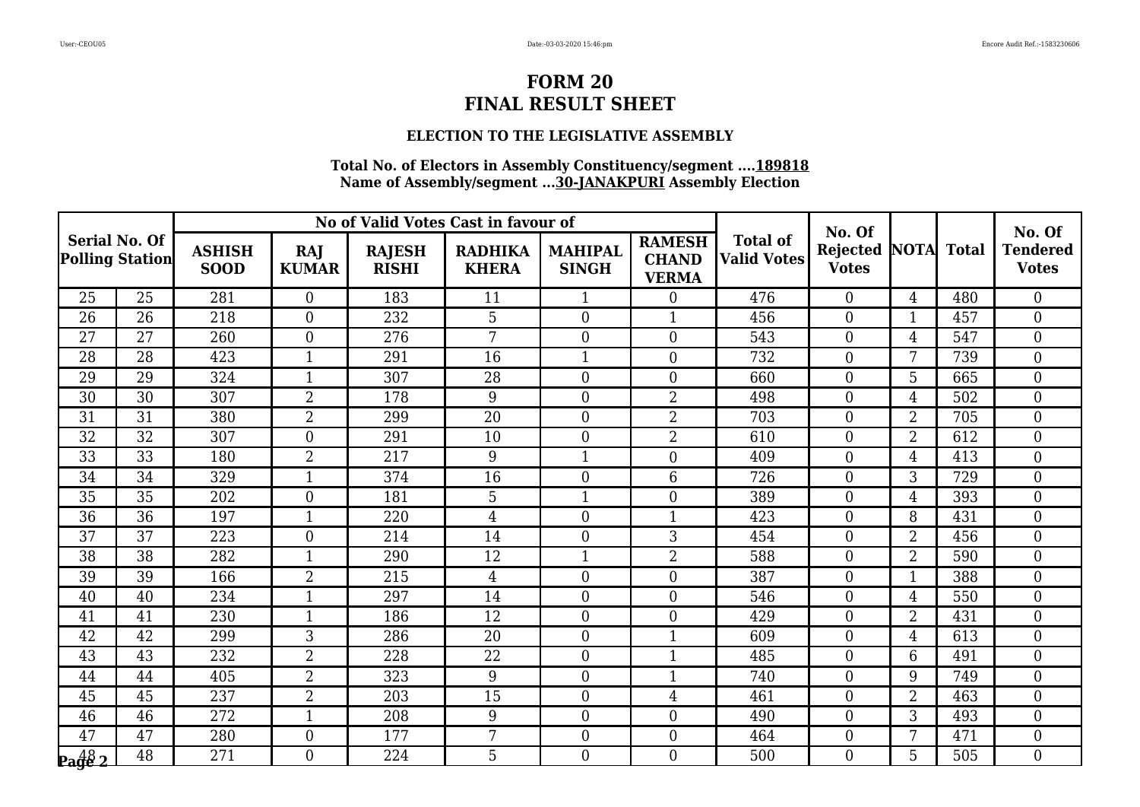### **ELECTION TO THE LEGISLATIVE ASSEMBLY**

|                                                |                 |                              |                     |                               | No of Valid Votes Cast in favour of |                                |                                               |                                       | No. Of                          |                |              | No. Of                          |
|------------------------------------------------|-----------------|------------------------------|---------------------|-------------------------------|-------------------------------------|--------------------------------|-----------------------------------------------|---------------------------------------|---------------------------------|----------------|--------------|---------------------------------|
| <b>Serial No. Of</b><br><b>Polling Station</b> |                 | <b>ASHISH</b><br><b>SOOD</b> | RAJ<br><b>KUMAR</b> | <b>RAJESH</b><br><b>RISHI</b> | <b>RADHIKA</b><br><b>KHERA</b>      | <b>MAHIPAL</b><br><b>SINGH</b> | <b>RAMESH</b><br><b>CHAND</b><br><b>VERMA</b> | <b>Total of</b><br><b>Valid Votes</b> | <b>Rejected</b><br><b>Votes</b> | <b>NOTA</b>    | <b>Total</b> | <b>Tendered</b><br><b>Votes</b> |
| 25                                             | 25              | 281                          | $\overline{0}$      | 183                           | 11                                  | $\mathbf{1}$                   | $\Omega$                                      | 476                                   | $\theta$                        | $\overline{4}$ | 480          | $\overline{0}$                  |
| 26                                             | 26              | 218                          | $\overline{0}$      | 232                           | 5                                   | $\boldsymbol{0}$               | 1                                             | 456                                   | $\overline{0}$                  | 1              | 457          | $\boldsymbol{0}$                |
| 27                                             | 27              | 260                          | $\boldsymbol{0}$    | 276                           | 7                                   | $\boldsymbol{0}$               | $\Omega$                                      | 543                                   | $\boldsymbol{0}$                | $\overline{4}$ | 547          | $\boldsymbol{0}$                |
| 28                                             | 28              | 423                          | $\mathbf{1}$        | 291                           | $\overline{16}$                     | $\mathbf{1}$                   | $\Omega$                                      | 732                                   | $\overline{0}$                  | 7              | 739          | $\boldsymbol{0}$                |
| 29                                             | 29              | 324                          | $\mathbf{1}$        | 307                           | 28                                  | $\boldsymbol{0}$               | $\overline{0}$                                | 660                                   | $\boldsymbol{0}$                | 5              | 665          | $\boldsymbol{0}$                |
| 30                                             | 30              | 307                          | $\overline{2}$      | 178                           | 9                                   | $\boldsymbol{0}$               | $\overline{2}$                                | 498                                   | $\overline{0}$                  | $\overline{4}$ | 502          | $\mathbf{0}$                    |
| 31                                             | 31              | 380                          | $\overline{2}$      | 299                           | 20                                  | $\boldsymbol{0}$               | $\overline{2}$                                | 703                                   | $\theta$                        | $\overline{2}$ | 705          | $\overline{0}$                  |
| 32                                             | 32              | 307                          | $\boldsymbol{0}$    | 291                           | 10                                  | $\boldsymbol{0}$               | $\overline{2}$                                | 610                                   | $\overline{0}$                  | $\overline{2}$ | 612          | $\boldsymbol{0}$                |
| 33                                             | $\overline{33}$ | 180                          | $\overline{2}$      | 217                           | 9                                   | $\mathbf{1}$                   | $\overline{0}$                                | 409                                   | $\boldsymbol{0}$                | $\overline{4}$ | 413          | $\boldsymbol{0}$                |
| 34                                             | 34              | 329                          | $\mathbf{1}$        | 374                           | $\overline{16}$                     | $\boldsymbol{0}$               | 6                                             | 726                                   | $\overline{0}$                  | 3              | 729          | $\boldsymbol{0}$                |
| 35                                             | 35              | 202                          | $\boldsymbol{0}$    | 181                           | 5                                   | $\mathbf{1}$                   | $\overline{0}$                                | 389                                   | $\boldsymbol{0}$                | $\overline{4}$ | 393          | $\boldsymbol{0}$                |
| 36                                             | 36              | 197                          | $\mathbf{1}$        | 220                           | $\overline{4}$                      | $\boldsymbol{0}$               | $\mathbf{1}$                                  | 423                                   | $\boldsymbol{0}$                | 8              | 431          | $\boldsymbol{0}$                |
| 37                                             | 37              | 223                          | $\overline{0}$      | 214                           | 14                                  | $\boldsymbol{0}$               | 3                                             | 454                                   | $\overline{0}$                  | $\overline{2}$ | 456          | $\overline{0}$                  |
| 38                                             | 38              | 282                          | $\mathbf{1}$        | 290                           | 12                                  | $\mathbf{1}$                   | $\overline{2}$                                | 588                                   | $\overline{0}$                  | $\overline{2}$ | 590          | $\boldsymbol{0}$                |
| 39                                             | 39              | 166                          | $\overline{2}$      | 215                           | $\overline{4}$                      | $\boldsymbol{0}$               | $\theta$                                      | 387                                   | $\boldsymbol{0}$                | $\mathbf{1}$   | 388          | $\boldsymbol{0}$                |
| 40                                             | 40              | 234                          | $\mathbf{1}$        | 297                           | 14                                  | $\boldsymbol{0}$               | $\overline{0}$                                | 546                                   | $\boldsymbol{0}$                | $\overline{4}$ | 550          | $\boldsymbol{0}$                |
| 41                                             | 41              | 230                          | $\mathbf{1}$        | 186                           | 12                                  | $\boldsymbol{0}$               | $\overline{0}$                                | 429                                   | $\boldsymbol{0}$                | $\overline{2}$ | 431          | $\boldsymbol{0}$                |
| $\overline{42}$                                | $\overline{42}$ | 299                          | $\overline{3}$      | 286                           | $\overline{20}$                     | $\overline{0}$                 | 1                                             | 609                                   | $\overline{0}$                  | $\overline{4}$ | 613          | $\overline{0}$                  |
| 43                                             | 43              | 232                          | $\overline{2}$      | 228                           | 22                                  | $\boldsymbol{0}$               | 1                                             | 485                                   | $\overline{0}$                  | 6              | 491          | $\boldsymbol{0}$                |
| 44                                             | 44              | 405                          | $\overline{2}$      | 323                           | 9                                   | $\boldsymbol{0}$               | 1                                             | 740                                   | $\overline{0}$                  | 9              | 749          | $\boldsymbol{0}$                |
| 45                                             | 45              | 237                          | $\overline{2}$      | 203                           | 15                                  | $\boldsymbol{0}$               | 4                                             | 461                                   | $\overline{0}$                  | $\overline{2}$ | 463          | $\overline{0}$                  |
| 46                                             | 46              | 272                          | $\mathbf{1}$        | 208                           | 9                                   | $\boldsymbol{0}$               | $\overline{0}$                                | 490                                   | $\overline{0}$                  | 3              | 493          | $\boldsymbol{0}$                |
| 47                                             | $\overline{47}$ | 280                          | $\boldsymbol{0}$    | 177                           | $\overline{7}$                      | $\boldsymbol{0}$               | $\overline{0}$                                | 464                                   | $\boldsymbol{0}$                | $\overline{7}$ | 471          | $\mathbf{0}$                    |
| $\frac{48}{2}$                                 | 48              | 271                          | $\overline{0}$      | 224                           | 5                                   | $\overline{0}$                 | $\Omega$                                      | 500                                   | $\Omega$                        | 5              | 505          | $\overline{0}$                  |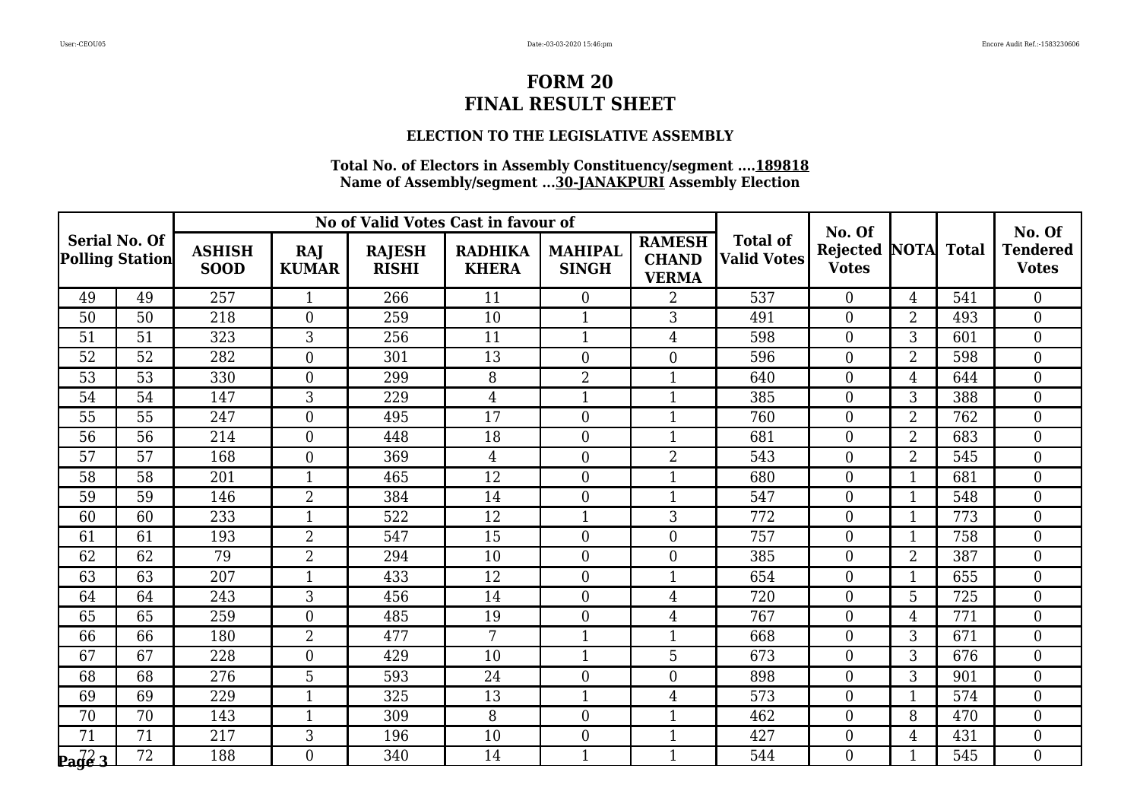### **ELECTION TO THE LEGISLATIVE ASSEMBLY**

|                                                |                 |                              |                     |                               | No of Valid Votes Cast in favour of |                                |                                               |                                       | No. Of                          |                |              | No. Of                          |
|------------------------------------------------|-----------------|------------------------------|---------------------|-------------------------------|-------------------------------------|--------------------------------|-----------------------------------------------|---------------------------------------|---------------------------------|----------------|--------------|---------------------------------|
| <b>Serial No. Of</b><br><b>Polling Station</b> |                 | <b>ASHISH</b><br><b>SOOD</b> | RAJ<br><b>KUMAR</b> | <b>RAJESH</b><br><b>RISHI</b> | <b>RADHIKA</b><br><b>KHERA</b>      | <b>MAHIPAL</b><br><b>SINGH</b> | <b>RAMESH</b><br><b>CHAND</b><br><b>VERMA</b> | <b>Total of</b><br><b>Valid Votes</b> | <b>Rejected</b><br><b>Votes</b> | <b>NOTA</b>    | <b>Total</b> | <b>Tendered</b><br><b>Votes</b> |
| 49                                             | 49              | 257                          | $\mathbf{1}$        | 266                           | 11                                  | $\mathbf{0}$                   | $\overline{2}$                                | 537                                   | $\theta$                        | $\overline{4}$ | 541          | $\theta$                        |
| 50                                             | 50              | 218                          | $\boldsymbol{0}$    | 259                           | 10                                  | $\mathbf 1$                    | 3                                             | 491                                   | $\overline{0}$                  | 2              | 493          | $\overline{0}$                  |
| 51                                             | 51              | 323                          | $\overline{3}$      | 256                           | 11                                  | $\mathbf{1}$                   | $\overline{4}$                                | 598                                   | $\mathbf{0}$                    | 3              | 601          | $\boldsymbol{0}$                |
| 52                                             | 52              | 282                          | $\boldsymbol{0}$    | 301                           | 13                                  | $\overline{0}$                 | $\overline{0}$                                | 596                                   | $\overline{0}$                  | 2              | 598          | $\boldsymbol{0}$                |
| 53                                             | 53              | 330                          | $\overline{0}$      | 299                           | 8                                   | $\overline{2}$                 | $\mathbf{1}$                                  | 640                                   | $\overline{0}$                  | 4              | 644          | $\overline{0}$                  |
| 54                                             | 54              | 147                          | 3                   | 229                           | $\overline{4}$                      | $\mathbf{1}$                   | $\mathbf{1}$                                  | 385                                   | $\mathbf{0}$                    | 3              | 388          | $\mathbf{0}$                    |
| 55                                             | 55              | 247                          | $\overline{0}$      | 495                           | 17                                  | $\boldsymbol{0}$               | 1                                             | 760                                   | $\overline{0}$                  | $\overline{2}$ | 762          | $\boldsymbol{0}$                |
| 56                                             | 56              | 214                          | $\overline{0}$      | 448                           | 18                                  | $\overline{0}$                 | 1                                             | 681                                   | $\overline{0}$                  | $\overline{2}$ | 683          | $\boldsymbol{0}$                |
| 57                                             | 57              | 168                          | $\overline{0}$      | 369                           | $\overline{4}$                      | $\boldsymbol{0}$               | $\overline{2}$                                | 543                                   | $\mathbf{0}$                    | 2              | 545          | $\boldsymbol{0}$                |
| 58                                             | 58              | 201                          | $\mathbf{1}$        | 465                           | $\overline{12}$                     | $\mathbf{0}$                   | $\mathbf{1}$                                  | 680                                   | $\theta$                        | $\mathbf{1}$   | 681          | $\overline{0}$                  |
| 59                                             | 59              | 146                          | $\overline{2}$      | 384                           | 14                                  | $\boldsymbol{0}$               | 1                                             | 547                                   | $\overline{0}$                  | 1              | 548          | $\overline{0}$                  |
| 60                                             | 60              | 233                          | $\mathbf{1}$        | 522                           | 12                                  | $\overline{1}$                 | 3                                             | 772                                   | $\mathbf{0}$                    | $\mathbf{1}$   | 773          | $\boldsymbol{0}$                |
| 61                                             | 61              | 193                          | $\overline{2}$      | 547                           | $\overline{15}$                     | $\boldsymbol{0}$               | $\overline{0}$                                | 757                                   | $\boldsymbol{0}$                | $\mathbf{1}$   | 758          | $\boldsymbol{0}$                |
| 62                                             | 62              | 79                           | $\overline{2}$      | 294                           | 10                                  | $\boldsymbol{0}$               | $\overline{0}$                                | 385                                   | $\overline{0}$                  | 2              | 387          | $\overline{0}$                  |
| 63                                             | $\overline{63}$ | $\overline{207}$             | $\mathbf{1}$        | 433                           | 12                                  | $\boldsymbol{0}$               | $\mathbf{1}$                                  | 654                                   | $\overline{0}$                  | $\overline{1}$ | 655          | $\overline{0}$                  |
| 64                                             | 64              | 243                          | 3                   | 456                           | 14                                  | $\boldsymbol{0}$               | 4                                             | 720                                   | $\mathbf{0}$                    | 5              | 725          | $\overline{0}$                  |
| 65                                             | 65              | 259                          | $\overline{0}$      | 485                           | 19                                  | $\boldsymbol{0}$               | $\overline{4}$                                | 767                                   | $\overline{0}$                  | 4              | 771          | $\boldsymbol{0}$                |
| 66                                             | 66              | 180                          | $\overline{2}$      | 477                           | 7                                   | $\mathbf{1}$                   | $\mathbf{1}$                                  | 668                                   | $\overline{0}$                  | 3              | 671          | $\overline{0}$                  |
| 67                                             | 67              | 228                          | $\overline{0}$      | 429                           | 10                                  | $\mathbf{1}$                   | 5                                             | 673                                   | $\overline{0}$                  | 3              | 676          | $\boldsymbol{0}$                |
| 68                                             | 68              | 276                          | 5                   | 593                           | 24                                  | $\boldsymbol{0}$               | $\overline{0}$                                | 898                                   | $\overline{0}$                  | 3              | 901          | $\overline{0}$                  |
| 69                                             | 69              | 229                          | $\mathbf{1}$        | 325                           | 13                                  | $\mathbf{1}$                   | 4                                             | 573                                   | $\overline{0}$                  | $\mathbf{1}$   | 574          | $\overline{0}$                  |
| 70                                             | 70              | 143                          | $\mathbf{1}$        | 309                           | 8                                   | $\mathbf{0}$                   | 1                                             | 462                                   | $\boldsymbol{0}$                | 8              | 470          | $\boldsymbol{0}$                |
| 71                                             | 71              | 217                          | 3                   | 196                           | 10                                  | $\boldsymbol{0}$               | $\mathbf{1}$                                  | 427                                   | $\mathbf{0}$                    | 4              | 431          | $\overline{0}$                  |
| $\mathbf{p}_\mathbf{a}$ de 3                   | $\overline{72}$ | 188                          | $\Omega$            | 340                           | 14                                  | $\mathbf{1}$                   | $\mathbf{1}$                                  | 544                                   | $\Omega$                        | $\mathbf{1}$   | 545          | $\overline{0}$                  |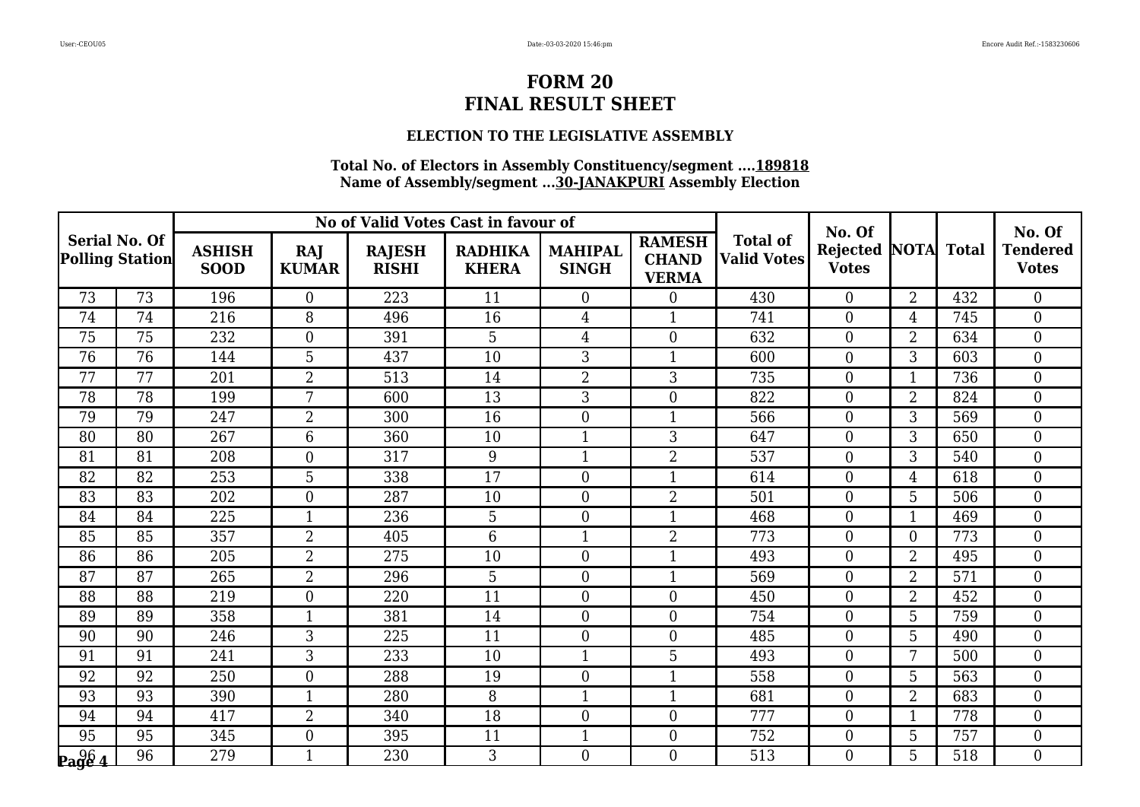### **ELECTION TO THE LEGISLATIVE ASSEMBLY**

|                                                |                 |                              |                     |                               | No of Valid Votes Cast in favour of |                                |                                               |                                       | No. Of                          |                |              | No. Of                          |
|------------------------------------------------|-----------------|------------------------------|---------------------|-------------------------------|-------------------------------------|--------------------------------|-----------------------------------------------|---------------------------------------|---------------------------------|----------------|--------------|---------------------------------|
| <b>Serial No. Of</b><br><b>Polling Station</b> |                 | <b>ASHISH</b><br><b>SOOD</b> | RAJ<br><b>KUMAR</b> | <b>RAJESH</b><br><b>RISHI</b> | <b>RADHIKA</b><br><b>KHERA</b>      | <b>MAHIPAL</b><br><b>SINGH</b> | <b>RAMESH</b><br><b>CHAND</b><br><b>VERMA</b> | <b>Total of</b><br><b>Valid Votes</b> | <b>Rejected</b><br><b>Votes</b> | <b>NOTA</b>    | <b>Total</b> | <b>Tendered</b><br><b>Votes</b> |
| 73                                             | 73              | 196                          | $\overline{0}$      | 223                           | 11                                  | $\overline{0}$                 | $\Omega$                                      | 430                                   | $\theta$                        | $\overline{2}$ | 432          | $\overline{0}$                  |
| 74                                             | 74              | 216                          | 8                   | 496                           | 16                                  | $\overline{4}$                 | 1                                             | 741                                   | $\overline{0}$                  | 4              | 745          | $\boldsymbol{0}$                |
| 75                                             | 75              | 232                          | $\boldsymbol{0}$    | 391                           | 5                                   | $\overline{4}$                 | $\Omega$                                      | 632                                   | $\boldsymbol{0}$                | $\overline{2}$ | 634          | $\boldsymbol{0}$                |
| $\overline{76}$                                | $\overline{76}$ | 144                          | 5                   | 437                           | 10                                  | 3                              | $\mathbf{1}$                                  | 600                                   | $\overline{0}$                  | 3              | 603          | $\boldsymbol{0}$                |
| 77                                             | 77              | 201                          | $\overline{2}$      | 513                           | 14                                  | $\overline{2}$                 | 3                                             | 735                                   | $\boldsymbol{0}$                | $\mathbf{1}$   | 736          | $\boldsymbol{0}$                |
| 78                                             | 78              | 199                          | $\overline{7}$      | 600                           | 13                                  | 3                              | $\overline{0}$                                | 822                                   | $\overline{0}$                  | $\overline{2}$ | 824          | $\mathbf{0}$                    |
| 79                                             | 79              | 247                          | $\overline{2}$      | 300                           | 16                                  | $\boldsymbol{0}$               | $\mathbf{1}$                                  | 566                                   | $\theta$                        | 3              | 569          | $\overline{0}$                  |
| 80                                             | 80              | 267                          | 6                   | 360                           | 10                                  | $\mathbf{1}$                   | 3                                             | 647                                   | $\overline{0}$                  | 3              | 650          | $\boldsymbol{0}$                |
| 81                                             | 81              | 208                          | $\boldsymbol{0}$    | 317                           | 9                                   | $\mathbf{1}$                   | $\overline{2}$                                | 537                                   | $\boldsymbol{0}$                | 3              | 540          | $\boldsymbol{0}$                |
| 82                                             | 82              | 253                          | 5                   | 338                           | $\overline{17}$                     | $\boldsymbol{0}$               | 1                                             | 614                                   | $\overline{0}$                  | 4              | 618          | $\boldsymbol{0}$                |
| 83                                             | 83              | 202                          | $\boldsymbol{0}$    | 287                           | 10                                  | $\boldsymbol{0}$               | $\overline{2}$                                | 501                                   | $\boldsymbol{0}$                | 5              | 506          | $\boldsymbol{0}$                |
| 84                                             | 84              | 225                          | $\mathbf{1}$        | 236                           | 5                                   | $\boldsymbol{0}$               | 1                                             | 468                                   | $\boldsymbol{0}$                | $\mathbf{1}$   | 469          | $\boldsymbol{0}$                |
| 85                                             | 85              | 357                          | $\overline{2}$      | 405                           | 6                                   | $\mathbf{1}$                   | $\overline{2}$                                | 773                                   | $\overline{0}$                  | $\theta$       | 773          | $\overline{0}$                  |
| 86                                             | 86              | 205                          | $\overline{2}$      | 275                           | 10                                  | $\boldsymbol{0}$               | 1                                             | 493                                   | $\overline{0}$                  | $\overline{2}$ | 495          | $\boldsymbol{0}$                |
| 87                                             | 87              | 265                          | $\overline{2}$      | 296                           | 5                                   | $\boldsymbol{0}$               | 1                                             | 569                                   | $\boldsymbol{0}$                | $\overline{2}$ | 571          | $\boldsymbol{0}$                |
| 88                                             | 88              | 219                          | $\boldsymbol{0}$    | 220                           | 11                                  | $\boldsymbol{0}$               | $\overline{0}$                                | 450                                   | $\boldsymbol{0}$                | $\overline{2}$ | 452          | $\boldsymbol{0}$                |
| 89                                             | 89              | 358                          | $\mathbf{1}$        | 381                           | 14                                  | $\boldsymbol{0}$               | $\overline{0}$                                | 754                                   | $\boldsymbol{0}$                | 5              | 759          | $\boldsymbol{0}$                |
| $\overline{90}$                                | 90              | 246                          | $\overline{3}$      | $\overline{225}$              | $\overline{11}$                     | $\overline{0}$                 | $\Omega$                                      | 485                                   | $\theta$                        | $\overline{5}$ | 490          | $\overline{0}$                  |
| 91                                             | 91              | 241                          | 3                   | 233                           | 10                                  | $\mathbf{1}$                   | 5                                             | 493                                   | $\overline{0}$                  | 7              | 500          | $\boldsymbol{0}$                |
| 92                                             | 92              | 250                          | $\boldsymbol{0}$    | 288                           | 19                                  | $\boldsymbol{0}$               | 1                                             | 558                                   | $\boldsymbol{0}$                | 5              | 563          | $\boldsymbol{0}$                |
| 93                                             | 93              | 390                          | $\mathbf{1}$        | 280                           | 8                                   | $\mathbf{1}$                   | 1                                             | 681                                   | $\overline{0}$                  | $\overline{2}$ | 683          | $\overline{0}$                  |
| 94                                             | 94              | 417                          | $\overline{2}$      | 340                           | 18                                  | $\boldsymbol{0}$               | $\overline{0}$                                | 777                                   | $\boldsymbol{0}$                | 1              | 778          | $\boldsymbol{0}$                |
| $\overline{95}$                                | $\overline{95}$ | 345                          | $\boldsymbol{0}$    | 395                           | 11                                  | $\mathbf{1}$                   | $\overline{0}$                                | 752                                   | $\boldsymbol{0}$                | 5              | 757          | $\mathbf{0}$                    |
| $\log_{4}$                                     | 96              | 279                          | $\mathbf{1}$        | 230                           | 3                                   | $\theta$                       | $\Omega$                                      | 513                                   | $\Omega$                        | 5              | 518          | $\overline{0}$                  |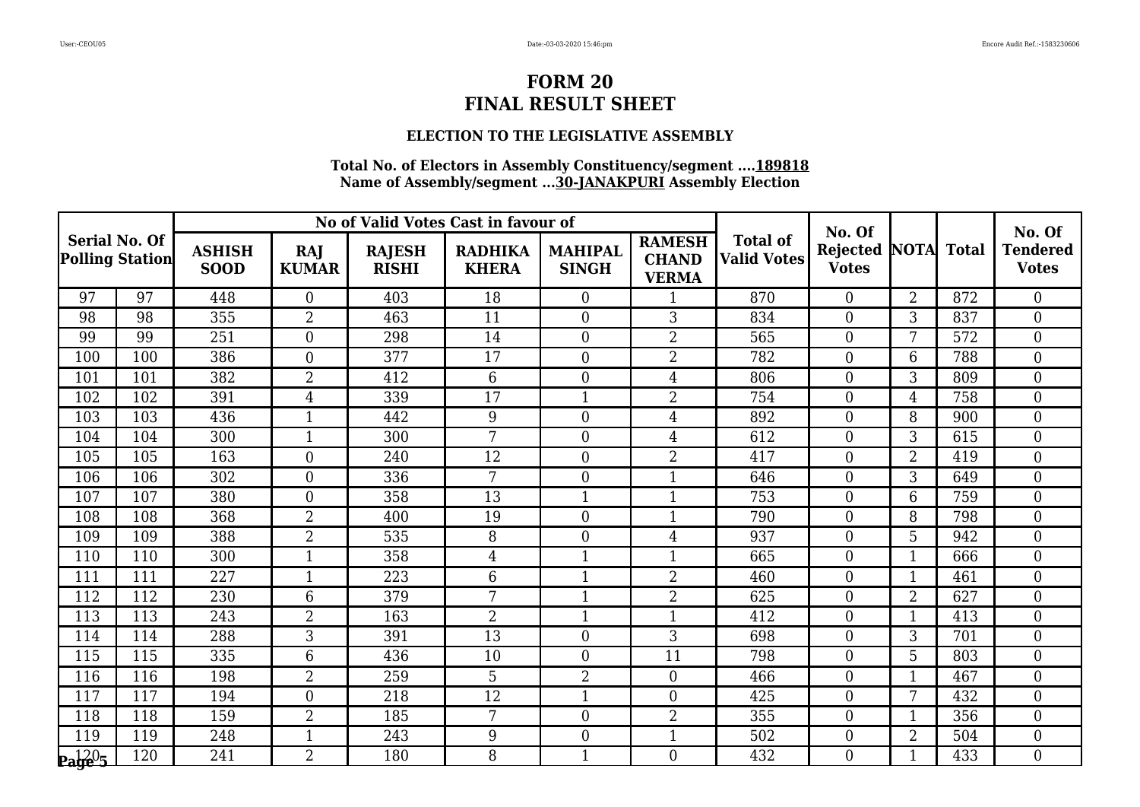### **ELECTION TO THE LEGISLATIVE ASSEMBLY**

|                                         |     |                              |                     | No of Valid Votes Cast in favour of |                                |                                |                                               |                                       | No. Of                               |                |              | No. Of                          |
|-----------------------------------------|-----|------------------------------|---------------------|-------------------------------------|--------------------------------|--------------------------------|-----------------------------------------------|---------------------------------------|--------------------------------------|----------------|--------------|---------------------------------|
| <b>Serial No. Of</b><br>Polling Station |     | <b>ASHISH</b><br><b>SOOD</b> | RAJ<br><b>KUMAR</b> | <b>RAJESH</b><br><b>RISHI</b>       | <b>RADHIKA</b><br><b>KHERA</b> | <b>MAHIPAL</b><br><b>SINGH</b> | <b>RAMESH</b><br><b>CHAND</b><br><b>VERMA</b> | <b>Total of</b><br><b>Valid Votes</b> | <b>Rejected NOTA</b><br><b>Votes</b> |                | <b>Total</b> | <b>Tendered</b><br><b>Votes</b> |
| 97                                      | 97  | 448                          | $\overline{0}$      | 403                                 | 18                             | $\overline{0}$                 | $\mathbf 1$                                   | 870                                   | $\theta$                             | $\overline{2}$ | 872          | $\overline{0}$                  |
| 98                                      | 98  | 355                          | $\overline{2}$      | 463                                 | 11                             | $\boldsymbol{0}$               | 3                                             | 834                                   | $\overline{0}$                       | 3              | 837          | $\boldsymbol{0}$                |
| 99                                      | 99  | 251                          | $\boldsymbol{0}$    | 298                                 | 14                             | $\boldsymbol{0}$               | $\overline{2}$                                | 565                                   | $\boldsymbol{0}$                     | 7              | 572          | $\mathbf{0}$                    |
| 100                                     | 100 | 386                          | $\overline{0}$      | 377                                 | 17                             | $\overline{0}$                 | $\overline{2}$                                | 782                                   | $\overline{0}$                       | 6              | 788          | $\boldsymbol{0}$                |
| 101                                     | 101 | 382                          | $\overline{2}$      | 412                                 | 6                              | $\overline{0}$                 | $\overline{4}$                                | 806                                   | $\overline{0}$                       | 3              | 809          | $\overline{0}$                  |
| 102                                     | 102 | 391                          | $\overline{4}$      | 339                                 | 17                             | $\mathbf{1}$                   | $\overline{2}$                                | 754                                   | $\mathbf{0}$                         | $\overline{4}$ | 758          | $\mathbf{0}$                    |
| 103                                     | 103 | 436                          | $\mathbf{1}$        | 442                                 | 9                              | $\overline{0}$                 | 4                                             | 892                                   | $\theta$                             | 8              | 900          | $\overline{0}$                  |
| 104                                     | 104 | 300                          | $\mathbf{1}$        | 300                                 | 7                              | $\overline{0}$                 | 4                                             | 612                                   | $\overline{0}$                       | 3              | 615          | $\boldsymbol{0}$                |
| 105                                     | 105 | 163                          | $\overline{0}$      | 240                                 | 12                             | $\boldsymbol{0}$               | $\overline{2}$                                | 417                                   | $\mathbf{0}$                         | $\overline{2}$ | 419          | $\boldsymbol{0}$                |
| 106                                     | 106 | 302                          | $\overline{0}$      | 336                                 | 7                              | $\overline{0}$                 | $\mathbf{1}$                                  | 646                                   | $\theta$                             | 3              | 649          | $\overline{0}$                  |
| 107                                     | 107 | 380                          | $\overline{0}$      | 358                                 | 13                             | $\mathbf{1}$                   | 1                                             | 753                                   | $\overline{0}$                       | 6              | 759          | $\boldsymbol{0}$                |
| 108                                     | 108 | 368                          | $\overline{2}$      | 400                                 | 19                             | $\boldsymbol{0}$               | $\mathbf{1}$                                  | 790                                   | $\mathbf{0}$                         | 8              | 798          | $\boldsymbol{0}$                |
| 109                                     | 109 | 388                          | $\overline{2}$      | 535                                 | 8                              | $\boldsymbol{0}$               | $\overline{4}$                                | 937                                   | $\boldsymbol{0}$                     | 5              | 942          | $\boldsymbol{0}$                |
| 110                                     | 110 | 300                          | $\mathbf{1}$        | 358                                 | $\overline{4}$                 | $\mathbf{1}$                   | 1                                             | 665                                   | $\overline{0}$                       | 1              | 666          | $\boldsymbol{0}$                |
| 111                                     | 111 | 227                          | $\overline{1}$      | 223                                 | 6                              | $\mathbf{1}$                   | $\overline{2}$                                | 460                                   | $\overline{0}$                       | 1              | 461          | $\boldsymbol{0}$                |
| 112                                     | 112 | 230                          | 6                   | 379                                 | 7                              | $\mathbf{1}$                   | $\overline{2}$                                | 625                                   | $\boldsymbol{0}$                     | $\overline{2}$ | 627          | $\boldsymbol{0}$                |
| 113                                     | 113 | 243                          | $\overline{2}$      | 163                                 | $\overline{2}$                 | $\mathbf{1}$                   | 1                                             | 412                                   | $\boldsymbol{0}$                     | 1              | 413          | $\boldsymbol{0}$                |
| $11\overline{4}$                        | 114 | 288                          | 3                   | 391                                 | $\overline{13}$                | $\boldsymbol{0}$               | 3                                             | 698                                   | $\overline{0}$                       | 3              | 701          | $\boldsymbol{0}$                |
| 115                                     | 115 | 335                          | 6                   | 436                                 | 10                             | $\mathbf{0}$                   | 11                                            | 798                                   | $\overline{0}$                       | 5              | 803          | $\boldsymbol{0}$                |
| 116                                     | 116 | 198                          | $\boldsymbol{2}$    | 259                                 | 5                              | $\overline{2}$                 | $\overline{0}$                                | 466                                   | $\boldsymbol{0}$                     | 1              | 467          | $\boldsymbol{0}$                |
| 117                                     | 117 | 194                          | $\overline{0}$      | 218                                 | 12                             | $\mathbf{1}$                   | $\overline{0}$                                | 425                                   | $\overline{0}$                       | 7              | 432          | $\overline{0}$                  |
| 118                                     | 118 | 159                          | $\overline{2}$      | 185                                 | 7                              | $\boldsymbol{0}$               | 2                                             | 355                                   | $\mathbf{0}$                         | 1              | 356          | $\boldsymbol{0}$                |
| 119                                     | 119 | 248                          | $\mathbf{1}$        | 243                                 | 9                              | $\boldsymbol{0}$               | $\mathbf{1}$                                  | 502                                   | $\boldsymbol{0}$                     | $\overline{2}$ | 504          | $\boldsymbol{0}$                |
| $\mathbf{p_4}^{120}$ 5                  | 120 | 241                          | $\overline{2}$      | 180                                 | 8                              | $\mathbf{1}$                   | $\Omega$                                      | 432                                   | $\theta$                             | 1              | 433          | $\overline{0}$                  |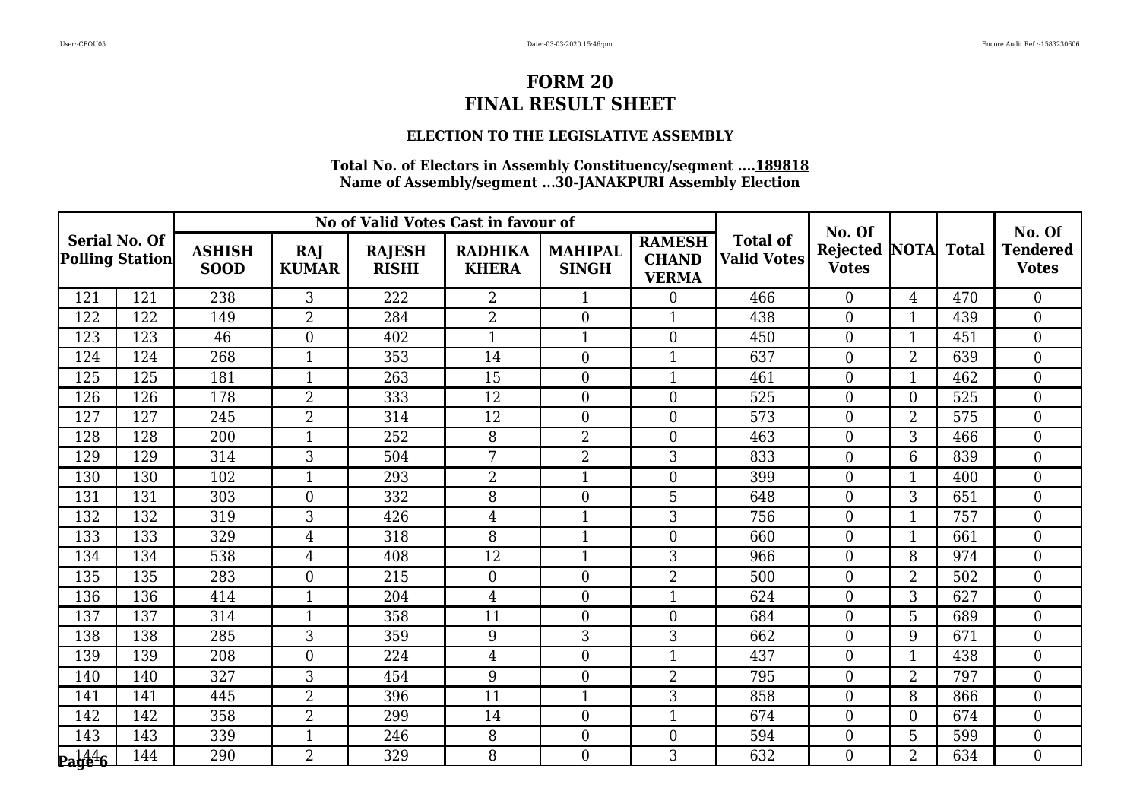### **ELECTION TO THE LEGISLATIVE ASSEMBLY**

|                                                |     |                              |                     |                               | No of Valid Votes Cast in favour of |                                | No. Of                                        |                                       | No. Of                          |                |              |                                 |
|------------------------------------------------|-----|------------------------------|---------------------|-------------------------------|-------------------------------------|--------------------------------|-----------------------------------------------|---------------------------------------|---------------------------------|----------------|--------------|---------------------------------|
| <b>Serial No. Of</b><br><b>Polling Station</b> |     | <b>ASHISH</b><br><b>SOOD</b> | RAJ<br><b>KUMAR</b> | <b>RAJESH</b><br><b>RISHI</b> | <b>RADHIKA</b><br><b>KHERA</b>      | <b>MAHIPAL</b><br><b>SINGH</b> | <b>RAMESH</b><br><b>CHAND</b><br><b>VERMA</b> | <b>Total of</b><br><b>Valid Votes</b> | <b>Rejected</b><br><b>Votes</b> | <b>NOTA</b>    | <b>Total</b> | <b>Tendered</b><br><b>Votes</b> |
| 121                                            | 121 | 238                          | 3                   | 222                           | $\overline{2}$                      | $\mathbf{1}$                   | $\theta$                                      | 466                                   | $\Omega$                        | $\overline{4}$ | 470          | $\theta$                        |
| 122                                            | 122 | 149                          | $\overline{2}$      | 284                           | $\overline{2}$                      | $\boldsymbol{0}$               | -1                                            | 438                                   | $\overline{0}$                  | 1              | 439          | $\boldsymbol{0}$                |
| 123                                            | 123 | 46                           | $\overline{0}$      | 402                           | $\mathbf{1}$                        | $\mathbf{1}$                   | $\theta$                                      | 450                                   | $\boldsymbol{0}$                | $\mathbf{1}$   | 451          | $\boldsymbol{0}$                |
| 124                                            | 124 | 268                          | $\mathbf{1}$        | 353                           | 14                                  | $\boldsymbol{0}$               | 1                                             | 637                                   | $\overline{0}$                  | $\overline{2}$ | 639          | $\boldsymbol{0}$                |
| 125                                            | 125 | 181                          | $\mathbf{1}$        | 263                           | 15                                  | $\boldsymbol{0}$               | 1                                             | 461                                   | $\boldsymbol{0}$                | $\mathbf 1$    | 462          | $\boldsymbol{0}$                |
| 126                                            | 126 | 178                          | $\overline{2}$      | 333                           | 12                                  | $\overline{0}$                 | $\theta$                                      | 525                                   | $\overline{0}$                  | $\overline{0}$ | 525          | $\mathbf{0}$                    |
| 127                                            | 127 | 245                          | $\overline{2}$      | 314                           | 12                                  | $\boldsymbol{0}$               | $\Omega$                                      | 573                                   | $\theta$                        | $\overline{2}$ | 575          | $\boldsymbol{0}$                |
| 128                                            | 128 | 200                          | $\mathbf{1}$        | 252                           | 8                                   | $\overline{2}$                 | $\theta$                                      | 463                                   | $\overline{0}$                  | 3              | 466          | $\boldsymbol{0}$                |
| 129                                            | 129 | 314                          | 3                   | 504                           | 7                                   | $\overline{2}$                 | 3                                             | 833                                   | $\boldsymbol{0}$                | 6              | 839          | $\boldsymbol{0}$                |
| 130                                            | 130 | 102                          | $\mathbf{1}$        | 293                           | $\overline{2}$                      | $\mathbf{1}$                   | $\theta$                                      | 399                                   | $\theta$                        | 1              | 400          | $\boldsymbol{0}$                |
| 131                                            | 131 | 303                          | $\boldsymbol{0}$    | 332                           | 8                                   | $\boldsymbol{0}$               | 5                                             | 648                                   | $\boldsymbol{0}$                | 3              | 651          | $\boldsymbol{0}$                |
| 132                                            | 132 | 319                          | 3                   | 426                           | $\overline{4}$                      | $\mathbf{1}$                   | 3                                             | 756                                   | $\boldsymbol{0}$                | $\mathbf 1$    | 757          | $\boldsymbol{0}$                |
| 133                                            | 133 | 329                          | $\overline{4}$      | 318                           | 8                                   | $\mathbf{1}$                   | $\Omega$                                      | 660                                   | $\overline{0}$                  | $\mathbf{1}$   | 661          | $\mathbf{0}$                    |
| 134                                            | 134 | 538                          | $\overline{4}$      | 408                           | 12                                  | $\mathbf{1}$                   | 3                                             | 966                                   | $\overline{0}$                  | 8              | 974          | $\boldsymbol{0}$                |
| 135                                            | 135 | 283                          | $\overline{0}$      | 215                           | $\boldsymbol{0}$                    | $\boldsymbol{0}$               | $\overline{2}$                                | 500                                   | $\boldsymbol{0}$                | $\overline{2}$ | 502          | $\boldsymbol{0}$                |
| 136                                            | 136 | 414                          | $\mathbf{1}$        | 204                           | $\overline{4}$                      | $\boldsymbol{0}$               | $\mathbf{1}$                                  | 624                                   | $\boldsymbol{0}$                | 3              | 627          | $\boldsymbol{0}$                |
| 137                                            | 137 | 314                          | $\mathbf{1}$        | 358                           | 11                                  | $\boldsymbol{0}$               | $\overline{0}$                                | 684                                   | $\boldsymbol{0}$                | 5              | 689          | $\boldsymbol{0}$                |
| 138                                            | 138 | 285                          | $\overline{3}$      | 359                           | 9                                   | $\overline{3}$                 | 3                                             | 662                                   | $\overline{0}$                  | 9              | 671          | $\overline{0}$                  |
| 139                                            | 139 | 208                          | $\overline{0}$      | 224                           | $\overline{4}$                      | $\boldsymbol{0}$               | 1                                             | 437                                   | $\overline{0}$                  | 1              | 438          | $\boldsymbol{0}$                |
| 140                                            | 140 | 327                          | 3                   | 454                           | 9                                   | $\boldsymbol{0}$               | $\overline{2}$                                | 795                                   | $\boldsymbol{0}$                | $\overline{2}$ | 797          | $\boldsymbol{0}$                |
| 141                                            | 141 | 445                          | $\overline{2}$      | 396                           | 11                                  | $\mathbf{1}$                   | 3                                             | 858                                   | $\overline{0}$                  | 8              | 866          | $\overline{0}$                  |
| 142                                            | 142 | 358                          | $\overline{2}$      | 299                           | 14                                  | $\boldsymbol{0}$               | 1                                             | 674                                   | $\boldsymbol{0}$                | $\overline{0}$ | 674          | $\boldsymbol{0}$                |
| 143                                            | 143 | 339                          | $\mathbf{1}$        | 246                           | 8                                   | $\boldsymbol{0}$               | $\overline{0}$                                | 594                                   | $\boldsymbol{0}$                | 5              | 599          | $\mathbf{0}$                    |
| $\mathbf{p_1}^{144}_{96}$                      | 144 | 290                          | $\overline{2}$      | 329                           | 8                                   | $\theta$                       | 3                                             | 632                                   | $\Omega$                        | $\overline{2}$ | 634          | $\overline{0}$                  |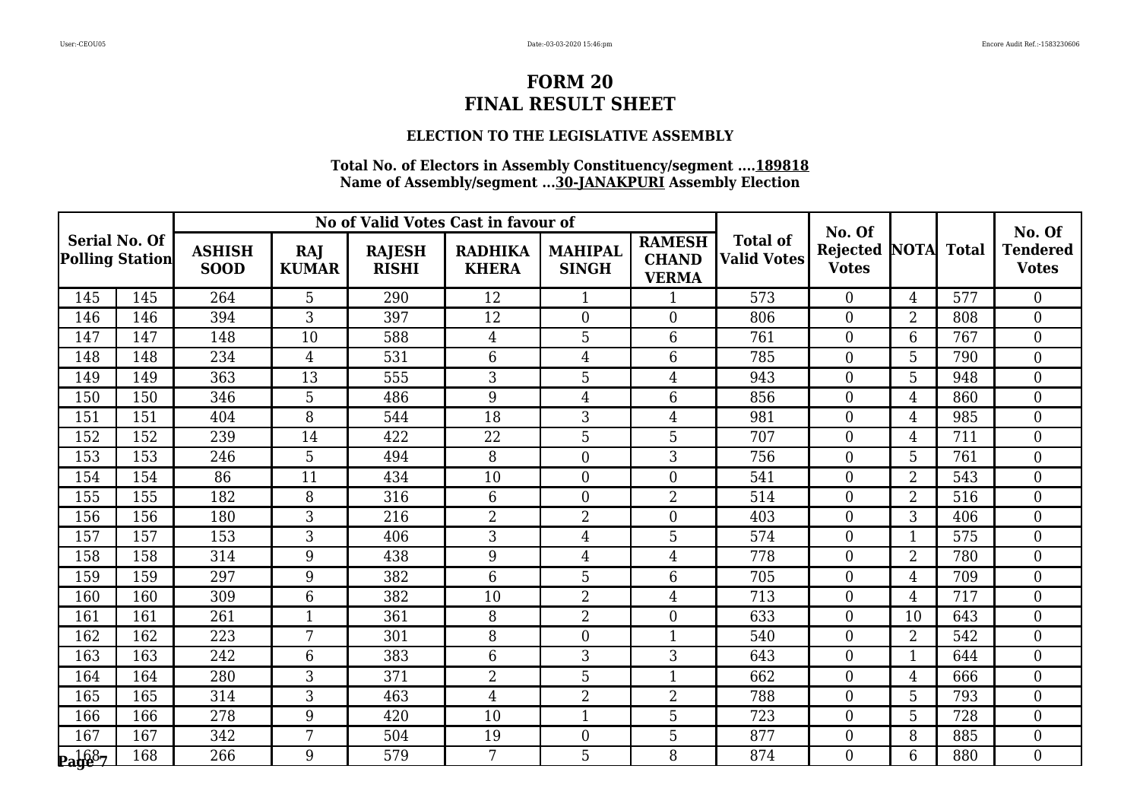### **ELECTION TO THE LEGISLATIVE ASSEMBLY**

|                                         |     |                              |                     |                               | No of Valid Votes Cast in favour of |                                |                                               |                                       | No. Of                               |                |              | No. Of                          |
|-----------------------------------------|-----|------------------------------|---------------------|-------------------------------|-------------------------------------|--------------------------------|-----------------------------------------------|---------------------------------------|--------------------------------------|----------------|--------------|---------------------------------|
| <b>Serial No. Of</b><br>Polling Station |     | <b>ASHISH</b><br><b>SOOD</b> | RAJ<br><b>KUMAR</b> | <b>RAJESH</b><br><b>RISHI</b> | <b>RADHIKA</b><br><b>KHERA</b>      | <b>MAHIPAL</b><br><b>SINGH</b> | <b>RAMESH</b><br><b>CHAND</b><br><b>VERMA</b> | <b>Total of</b><br><b>Valid Votes</b> | <b>Rejected NOTA</b><br><b>Votes</b> |                | <b>Total</b> | <b>Tendered</b><br><b>Votes</b> |
| 145                                     | 145 | 264                          | 5                   | 290                           | 12                                  | $\mathbf{1}$                   | $\mathbf 1$                                   | 573                                   | $\theta$                             | $\overline{4}$ | 577          | $\overline{0}$                  |
| 146                                     | 146 | 394                          | 3                   | 397                           | 12                                  | $\boldsymbol{0}$               | $\overline{0}$                                | 806                                   | $\overline{0}$                       | $\overline{2}$ | 808          | $\boldsymbol{0}$                |
| 147                                     | 147 | 148                          | 10                  | 588                           | $\overline{4}$                      | 5                              | 6                                             | 761                                   | $\boldsymbol{0}$                     | 6              | 767          | $\boldsymbol{0}$                |
| 148                                     | 148 | 234                          | $\overline{4}$      | 531                           | 6                                   | $\overline{4}$                 | 6                                             | 785                                   | $\overline{0}$                       | 5              | 790          | $\boldsymbol{0}$                |
| 149                                     | 149 | 363                          | 13                  | 555                           | 3                                   | 5                              | 4                                             | 943                                   | $\overline{0}$                       | 5              | 948          | $\overline{0}$                  |
| 150                                     | 150 | 346                          | 5                   | 486                           | 9                                   | $\overline{4}$                 | 6                                             | 856                                   | $\mathbf{0}$                         | $\overline{4}$ | 860          | $\mathbf{0}$                    |
| 151                                     | 151 | 404                          | 8                   | 544                           | 18                                  | 3                              | 4                                             | 981                                   | $\theta$                             | 4              | 985          | $\overline{0}$                  |
| 152                                     | 152 | 239                          | 14                  | 422                           | 22                                  | 5                              | 5                                             | 707                                   | $\overline{0}$                       | 4              | 711          | $\boldsymbol{0}$                |
| 153                                     | 153 | 246                          | 5                   | 494                           | 8                                   | $\boldsymbol{0}$               | 3                                             | 756                                   | $\mathbf{0}$                         | 5              | 761          | $\boldsymbol{0}$                |
| 154                                     | 154 | 86                           | 11                  | 434                           | $\overline{10}$                     | $\overline{0}$                 | $\Omega$                                      | 541                                   | $\theta$                             | $\overline{2}$ | 543          | $\overline{0}$                  |
| 155                                     | 155 | 182                          | 8                   | 316                           | 6                                   | $\boldsymbol{0}$               | $\overline{2}$                                | 514                                   | $\overline{0}$                       | $\overline{2}$ | 516          | $\overline{0}$                  |
| 156                                     | 156 | 180                          | 3                   | 216                           | $\overline{2}$                      | $\overline{2}$                 | $\overline{0}$                                | 403                                   | $\mathbf{0}$                         | 3              | 406          | $\boldsymbol{0}$                |
| 157                                     | 157 | 153                          | 3                   | 406                           | 3                                   | $\overline{4}$                 | 5                                             | 574                                   | $\boldsymbol{0}$                     | $\overline{1}$ | 575          | $\boldsymbol{0}$                |
| 158                                     | 158 | 314                          | 9                   | 438                           | 9                                   | $\overline{4}$                 | 4                                             | 778                                   | $\overline{0}$                       | $\overline{2}$ | 780          | $\boldsymbol{0}$                |
| 159                                     | 159 | 297                          | 9                   | 382                           | 6                                   | $\overline{5}$                 | 6                                             | 705                                   | $\overline{0}$                       | 4              | 709          | $\overline{0}$                  |
| 160                                     | 160 | 309                          | 6                   | 382                           | 10                                  | $\overline{2}$                 | 4                                             | 713                                   | $\boldsymbol{0}$                     | $\overline{4}$ | 717          | $\boldsymbol{0}$                |
| 161                                     | 161 | 261                          | $\mathbf{1}$        | 361                           | 8                                   | $\overline{2}$                 | $\overline{0}$                                | 633                                   | $\mathbf{0}$                         | 10             | 643          | $\boldsymbol{0}$                |
| 162                                     | 162 | 223                          | 7                   | 301                           | 8                                   | $\boldsymbol{0}$               | $\mathbf{1}$                                  | 540                                   | $\overline{0}$                       | $\overline{2}$ | 542          | $\overline{0}$                  |
| 163                                     | 163 | 242                          | 6                   | 383                           | 6                                   | 3                              | 3                                             | 643                                   | $\overline{0}$                       | 1              | 644          | $\boldsymbol{0}$                |
| 164                                     | 164 | 280                          | 3                   | 371                           | $\overline{2}$                      | 5                              | $\mathbf 1$                                   | 662                                   | $\mathbf{0}$                         | $\overline{4}$ | 666          | $\boldsymbol{0}$                |
| 165                                     | 165 | 314                          | $\overline{3}$      | 463                           | $\overline{4}$                      | $\overline{2}$                 | $\overline{2}$                                | 788                                   | $\overline{0}$                       | 5              | 793          | $\overline{0}$                  |
| 166                                     | 166 | 278                          | 9                   | 420                           | 10                                  | $\mathbf 1$                    | 5                                             | 723                                   | $\mathbf{0}$                         | 5              | 728          | $\boldsymbol{0}$                |
| 167                                     | 167 | 342                          | 7                   | 504                           | 19                                  | $\boldsymbol{0}$               | 5                                             | 877                                   | $\boldsymbol{0}$                     | 8              | 885          | $\boldsymbol{0}$                |
| $\mathbf{p_1}$ 687                      | 168 | 266                          | 9                   | 579                           | 7                                   | 5                              | 8                                             | 874                                   | $\Omega$                             | 6              | 880          | $\overline{0}$                  |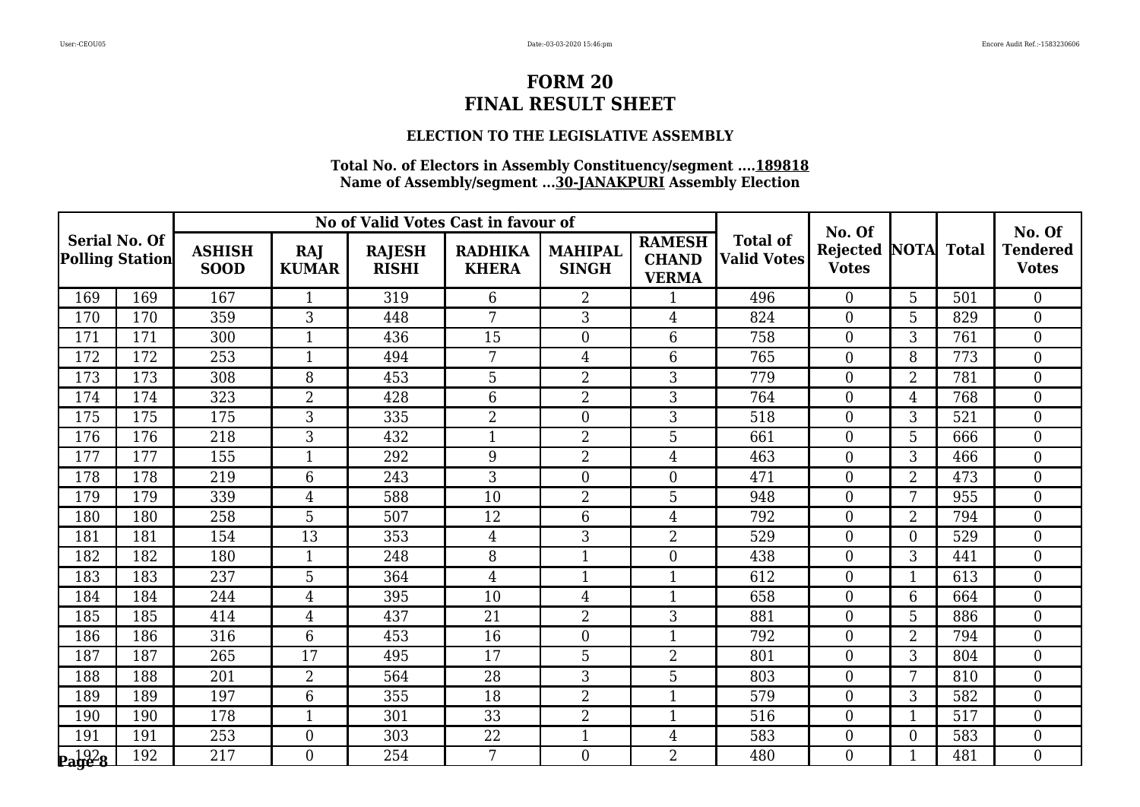### **ELECTION TO THE LEGISLATIVE ASSEMBLY**

|                                                |     |                              |                     |                               | No of Valid Votes Cast in favour of |                                |                                               |                                       | No. Of                               |                |              | No. Of                          |
|------------------------------------------------|-----|------------------------------|---------------------|-------------------------------|-------------------------------------|--------------------------------|-----------------------------------------------|---------------------------------------|--------------------------------------|----------------|--------------|---------------------------------|
| <b>Serial No. Of</b><br><b>Polling Station</b> |     | <b>ASHISH</b><br><b>SOOD</b> | RAJ<br><b>KUMAR</b> | <b>RAJESH</b><br><b>RISHI</b> | <b>RADHIKA</b><br><b>KHERA</b>      | <b>MAHIPAL</b><br><b>SINGH</b> | <b>RAMESH</b><br><b>CHAND</b><br><b>VERMA</b> | <b>Total of</b><br><b>Valid Votes</b> | <b>Rejected NOTA</b><br><b>Votes</b> |                | <b>Total</b> | <b>Tendered</b><br><b>Votes</b> |
| 169                                            | 169 | 167                          | $\mathbf{1}$        | 319                           | 6                                   | $\overline{2}$                 | $\mathbf 1$                                   | 496                                   | $\theta$                             | 5              | 501          | $\overline{0}$                  |
| 170                                            | 170 | 359                          | 3                   | 448                           | 7                                   | 3                              | 4                                             | 824                                   | $\overline{0}$                       | 5              | 829          | $\boldsymbol{0}$                |
| 171                                            | 171 | 300                          | $\mathbf{1}$        | 436                           | 15                                  | $\boldsymbol{0}$               | 6                                             | 758                                   | $\boldsymbol{0}$                     | 3              | 761          | $\boldsymbol{0}$                |
| 172                                            | 172 | 253                          | $\mathbf{1}$        | 494                           | 7                                   | $\overline{4}$                 | 6                                             | 765                                   | $\overline{0}$                       | 8              | 773          | $\boldsymbol{0}$                |
| 173                                            | 173 | 308                          | 8                   | 453                           | 5                                   | $\overline{2}$                 | 3                                             | 779                                   | $\overline{0}$                       | $\overline{2}$ | 781          | $\overline{0}$                  |
| 174                                            | 174 | 323                          | $\overline{2}$      | 428                           | 6                                   | $\overline{2}$                 | 3                                             | 764                                   | $\mathbf{0}$                         | $\overline{4}$ | 768          | $\mathbf{0}$                    |
| 175                                            | 175 | 175                          | 3                   | 335                           | $\overline{2}$                      | $\boldsymbol{0}$               | 3                                             | 518                                   | $\theta$                             | 3              | 521          | $\overline{0}$                  |
| 176                                            | 176 | 218                          | 3                   | 432                           | $\mathbf{1}$                        | $\overline{2}$                 | 5                                             | 661                                   | $\overline{0}$                       | 5              | 666          | $\boldsymbol{0}$                |
| 177                                            | 177 | 155                          | $\mathbf{1}$        | 292                           | 9                                   | $\overline{2}$                 | $\overline{4}$                                | 463                                   | $\mathbf{0}$                         | 3              | 466          | $\boldsymbol{0}$                |
| 178                                            | 178 | 219                          | 6                   | 243                           | 3                                   | $\overline{0}$                 | $\overline{0}$                                | 471                                   | $\theta$                             | $\overline{2}$ | 473          | $\overline{0}$                  |
| 179                                            | 179 | 339                          | 4                   | 588                           | 10                                  | $\overline{2}$                 | 5                                             | 948                                   | $\overline{0}$                       | 7              | 955          | $\overline{0}$                  |
| 180                                            | 180 | 258                          | 5                   | 507                           | 12                                  | $6\phantom{1}$                 | 4                                             | 792                                   | $\mathbf{0}$                         | $\overline{2}$ | 794          | $\boldsymbol{0}$                |
| 181                                            | 181 | 154                          | 13                  | 353                           | $\overline{4}$                      | 3                              | $\overline{2}$                                | 529                                   | $\boldsymbol{0}$                     | $\overline{0}$ | 529          | $\boldsymbol{0}$                |
| 182                                            | 182 | 180                          | $\mathbf{1}$        | 248                           | 8                                   | $\mathbf{1}$                   | $\overline{0}$                                | 438                                   | $\overline{0}$                       | 3              | 441          | $\boldsymbol{0}$                |
| 183                                            | 183 | 237                          | 5                   | 364                           | $\overline{4}$                      | $\mathbf{1}$                   | $\mathbf{1}$                                  | 612                                   | $\overline{0}$                       | $\overline{1}$ | 613          | $\overline{0}$                  |
| 184                                            | 184 | 244                          | 4                   | 395                           | 10                                  | $\overline{4}$                 | $\mathbf{1}$                                  | 658                                   | $\overline{0}$                       | 6              | 664          | $\boldsymbol{0}$                |
| 185                                            | 185 | 414                          | 4                   | 437                           | 21                                  | $\overline{2}$                 | 3                                             | 881                                   | $\mathbf{0}$                         | 5              | 886          | $\boldsymbol{0}$                |
| 186                                            | 186 | 316                          | 6                   | 453                           | $\overline{16}$                     | $\boldsymbol{0}$               | $\mathbf{1}$                                  | 792                                   | $\overline{0}$                       | $\overline{2}$ | 794          | $\overline{0}$                  |
| 187                                            | 187 | 265                          | 17                  | 495                           | 17                                  | 5                              | $\overline{2}$                                | 801                                   | $\overline{0}$                       | 3              | 804          | $\boldsymbol{0}$                |
| 188                                            | 188 | 201                          | $\boldsymbol{2}$    | 564                           | 28                                  | 3                              | 5                                             | 803                                   | $\mathbf{0}$                         | 7              | 810          | $\boldsymbol{0}$                |
| 189                                            | 189 | 197                          | 6                   | 355                           | 18                                  | $\overline{2}$                 | $\mathbf{1}$                                  | 579                                   | $\overline{0}$                       | 3              | 582          | $\overline{0}$                  |
| 190                                            | 190 | 178                          | $\mathbf{1}$        | 301                           | 33                                  | $\overline{2}$                 | 1                                             | 516                                   | $\mathbf{0}$                         | 1              | 517          | $\boldsymbol{0}$                |
| 191                                            | 191 | 253                          | $\overline{0}$      | 303                           | 22                                  | $\mathbf{1}$                   | $\overline{4}$                                | 583                                   | $\boldsymbol{0}$                     | $\overline{0}$ | 583          | $\boldsymbol{0}$                |
| $\mathbf{p_1}^{192}_{92}$                      | 192 | 217                          | $\overline{0}$      | 254                           | 7                                   | $\overline{0}$                 | $\overline{2}$                                | 480                                   | $\Omega$                             | 1              | 481          | $\overline{0}$                  |